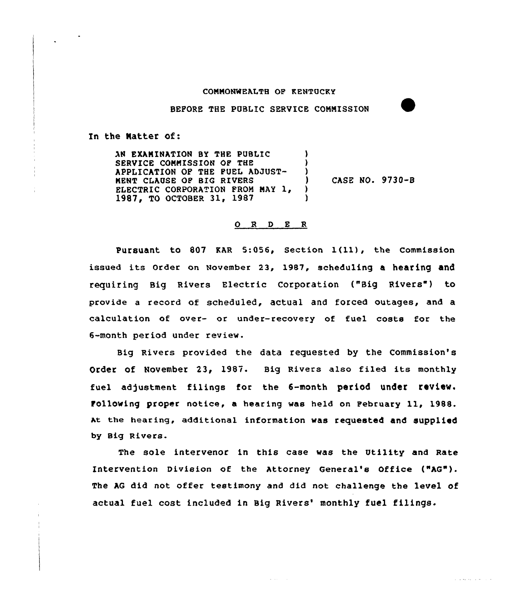## CONNONMEALTH OP KENTUCKY

BEPORE THE PUBLIC SERVICE CONNISSION

In the Matter of:

AN EXANINATION BY THE PUBLIC SERVICE COMMISSION OP THE APPLICATION OP THE PUEL ADJUST-NENT CLAUSE OP BIG RIVERS ELECTRIC CORPORATION FROM MAY 1, 1987, TO OCTOBER 31, 1987 ) ) )

) CASE NO. 9730-8

المترابط والمتقاومات

## $O$  R D E R

Pursuant to <sup>807</sup> KAR 5:056, Section l(11), the Commission issued its order on November 23, 1987, scheduling a hearing and requiring Big Rivers Electric Corporation ("Big Rivers") to provide a record of scheduled, actual and forced outages, and a calculation of over- or under-recovery of fuel costs for the 6-month period under review.

Big Rivers provided the data requested by the commission's Order Of November 23, 1987. Big Rivers also filed its monthly fuel adjustment filings for the 6-month period under review. Pollowing proper notice, a hearing was held on Pebruary 11, 1988. ht the hearing, additional information was requested and supplied by Big Rivers.

The sole intervenor in this case was the Utility and Rate Intervention Division of the Attorney General's Office ("AG"). The AG did not offer testimony and did not challenge the level of actual fuel cost included in Big Rivers' monthly fuel filings.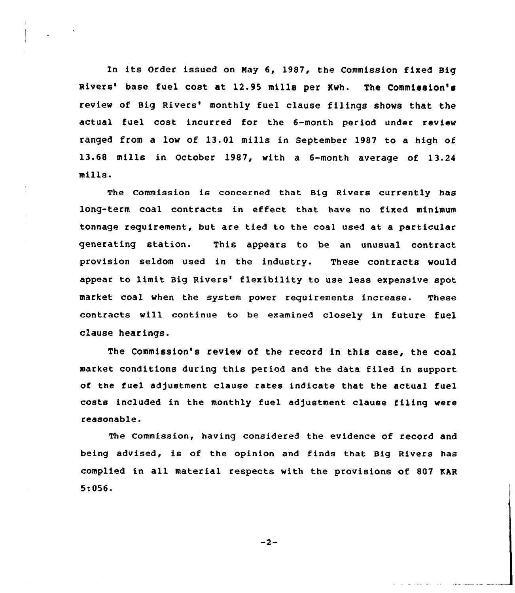In its Order issued on May 6, 1987, the Commission fixed Big Rivers' base fuel cost at 12.95 mills per Kwh. The Commission's review of Big Rivers' monthly fuel clause filings shows that the actual fuel cost incurred for the 6-month period under review ranged from a low of 13.01 mills in September 1987 to a high of 13.68 mills in October 1987, with a 6-month average of 13.24 mills.

The Commission is concerned that Big Rivers currently has long-term coal contracts in effect that have no fixed minimum tonnage requirement, but are tied to the coal used at a particular generating station. This appears to be an unusual contract provision seldom used in the industry. These contracts would appear to limit Big Rivers' flexibility to use less expensive spot market coal when the system power requirements increase. These contracts will continue to be examined closely in future fuel cLause hearings.

The Commission's review of the record in this case, the coal market conditions during this period and the data filed in support of the fuel adjustment clause rates indicate that the actual fuel costs included in the monthly fuel adjustment clause filing were reasonable.

The commission, having considered the evidence of record and being advised, is of the opinion and finds that Big Rivers has complied in all material respects with the provisions of 807 EAR 5:056.

 $-2-$